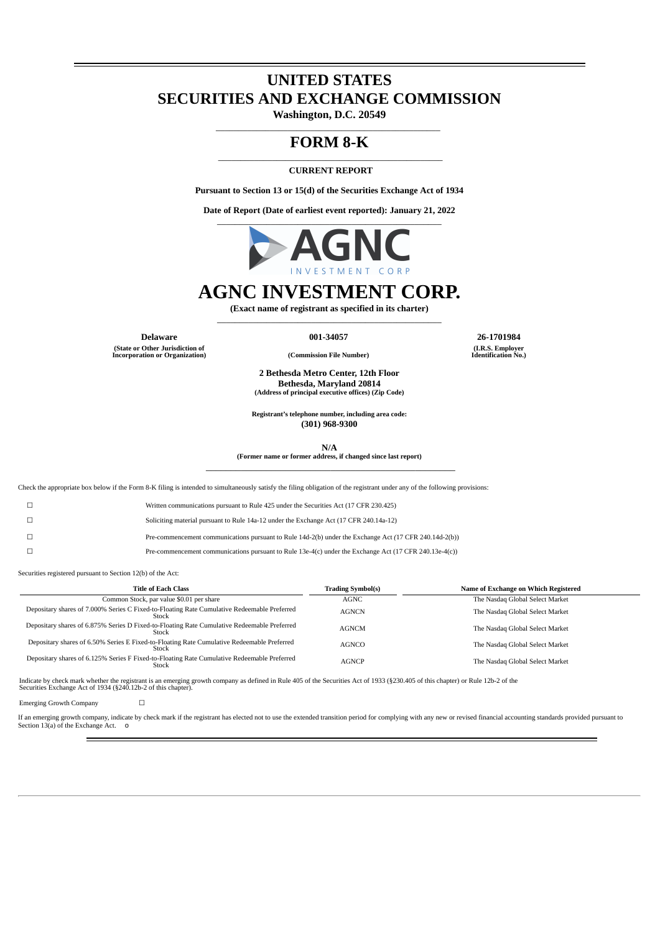# **UNITED STATES SECURITIES AND EXCHANGE COMMISSION**

**Washington, D.C. 20549** \_\_\_\_\_\_\_\_\_\_\_\_\_\_\_\_\_\_\_\_\_\_\_\_\_\_\_\_\_\_\_\_\_\_\_\_\_\_\_\_\_\_\_\_\_\_\_\_\_\_

### **FORM 8-K** \_\_\_\_\_\_\_\_\_\_\_\_\_\_\_\_\_\_\_\_\_\_\_\_\_\_\_\_\_\_\_\_\_\_\_\_\_\_\_\_\_\_\_\_\_\_\_\_\_\_

#### **CURRENT REPORT**

**Pursuant to Section 13 or 15(d) of the Securities Exchange Act of 1934**

**Date of Report (Date of earliest event reported): January 21, 2022** \_\_\_\_\_\_\_\_\_\_\_\_\_\_\_\_\_\_\_\_\_\_\_\_\_\_\_\_\_\_\_\_\_\_\_\_\_\_\_\_\_\_\_\_\_\_\_\_\_\_



# **AGNC INVESTMENT CORP.**

**(Exact name of registrant as specified in its charter)** \_\_\_\_\_\_\_\_\_\_\_\_\_\_\_\_\_\_\_\_\_\_\_\_\_\_\_\_\_\_\_\_\_\_\_\_\_\_\_\_\_\_\_\_\_\_\_\_\_\_

**Delaware 001-34057 26-1701984**

**(State or Other Jurisdiction of Incorporation or Organization) (Commission File Number)**

**(I.R.S. Employer Identification No.)**

**2 Bethesda Metro Center, 12th Floor Bethesda, Maryland 20814 (Address of principal executive offices) (Zip Code)**

**Registrant's telephone number, including area code: (301) 968-9300**

**N/A**

**(Former name or former address, if changed since last report)** \_\_\_\_\_\_\_\_\_\_\_\_\_\_\_\_\_\_\_\_\_\_\_\_\_\_\_\_\_\_\_\_\_\_\_\_\_\_\_\_\_\_\_\_\_\_\_\_\_\_

Check the appropriate box below if the Form 8-K filing is intended to simultaneously satisfy the filing obligation of the registrant under any of the following provisions:

| Written communications pursuant to Rule 425 under the Securities Act (17 CFR 230.425) |  |  |
|---------------------------------------------------------------------------------------|--|--|
|                                                                                       |  |  |

☐ Soliciting material pursuant to Rule 14a-12 under the Exchange Act (17 CFR 240.14a-12)

☐ Pre-commencement communications pursuant to Rule 14d-2(b) under the Exchange Act *(*17 CFR 240.14d-2(b))

☐ Pre-commencement communications pursuant to Rule 13e-4(c) under the Exchange Act (17 CFR 240.13e-4(c))

Securities registered pursuant to Section 12(b) of the Act:

| <b>Title of Each Class</b>                                                                           | <b>Trading Symbol(s)</b> | Name of Exchange on Which Registered |
|------------------------------------------------------------------------------------------------------|--------------------------|--------------------------------------|
| Common Stock, par value \$0.01 per share                                                             | AGNC                     | The Nasdaq Global Select Market      |
| Depositary shares of 7.000% Series C Fixed-to-Floating Rate Cumulative Redeemable Preferred<br>Stock | <b>AGNCN</b>             | The Nasdaq Global Select Market      |
| Depositary shares of 6.875% Series D Fixed-to-Floating Rate Cumulative Redeemable Preferred<br>Stock | AGNCM                    | The Nasdaq Global Select Market      |
| Depositary shares of 6.50% Series E Fixed-to-Floating Rate Cumulative Redeemable Preferred<br>Stock  | <b>AGNCO</b>             | The Nasdaq Global Select Market      |
| Depositary shares of 6.125% Series F Fixed-to-Floating Rate Cumulative Redeemable Preferred<br>Stock | <b>AGNCP</b>             | The Nasdaq Global Select Market      |

Indicate by check mark whether the registrant is an emerging growth company as defined in Rule 405 of the Securities Act of 1933 (§230.405 of this chapter) or Rule 12b-2 of the<br>Securities Exchange Act of 1934 (§240.12b-2 o

Emerging Growth Company □

If an emerging growth company, indicate by check mark if the registrant has elected not to use the extended transition period for complying with any new or revised financial accounting standards provided pursuant to Section 13(a) of the Exchange Act. o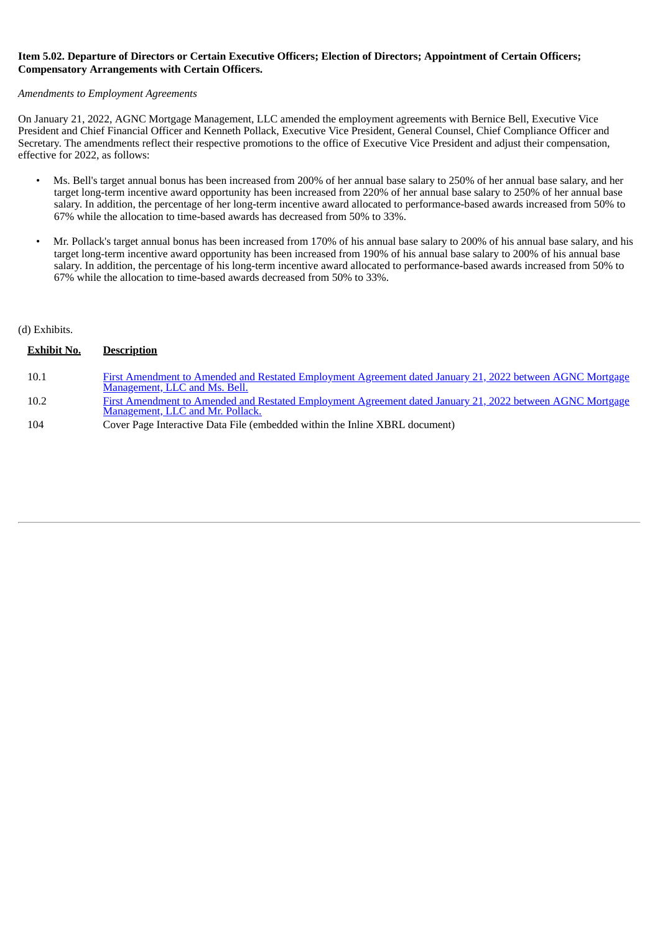#### Item 5.02. Departure of Directors or Certain Executive Officers: Election of Directors: Appointment of Certain Officers: **Compensatory Arrangements with Certain Officers.**

#### *Amendments to Employment Agreements*

On January 21, 2022, AGNC Mortgage Management, LLC amended the employment agreements with Bernice Bell, Executive Vice President and Chief Financial Officer and Kenneth Pollack, Executive Vice President, General Counsel, Chief Compliance Officer and Secretary. The amendments reflect their respective promotions to the office of Executive Vice President and adjust their compensation, effective for 2022, as follows:

- Ms. Bell's target annual bonus has been increased from 200% of her annual base salary to 250% of her annual base salary, and her target long-term incentive award opportunity has been increased from 220% of her annual base salary to 250% of her annual base salary. In addition, the percentage of her long-term incentive award allocated to performance-based awards increased from 50% to 67% while the allocation to time-based awards has decreased from 50% to 33%.
- Mr. Pollack's target annual bonus has been increased from 170% of his annual base salary to 200% of his annual base salary, and his target long-term incentive award opportunity has been increased from 190% of his annual base salary to 200% of his annual base salary. In addition, the percentage of his long-term incentive award allocated to performance-based awards increased from 50% to 67% while the allocation to time-based awards decreased from 50% to 33%.

#### (d) Exhibits.

| <b>Exhibit No.</b> | <b>Description</b>                                                                                                                            |
|--------------------|-----------------------------------------------------------------------------------------------------------------------------------------------|
| 10.1               | First Amendment to Amended and Restated Employment Agreement dated January 21, 2022 between AGNC Mortgage<br>Management, LLC and Ms. Bell.    |
| 10.2               | First Amendment to Amended and Restated Employment Agreement dated January 21, 2022 between AGNC Mortgage<br>Management, LLC and Mr. Pollack. |
| 104                | Cover Page Interactive Data File (embedded within the Inline XBRL document)                                                                   |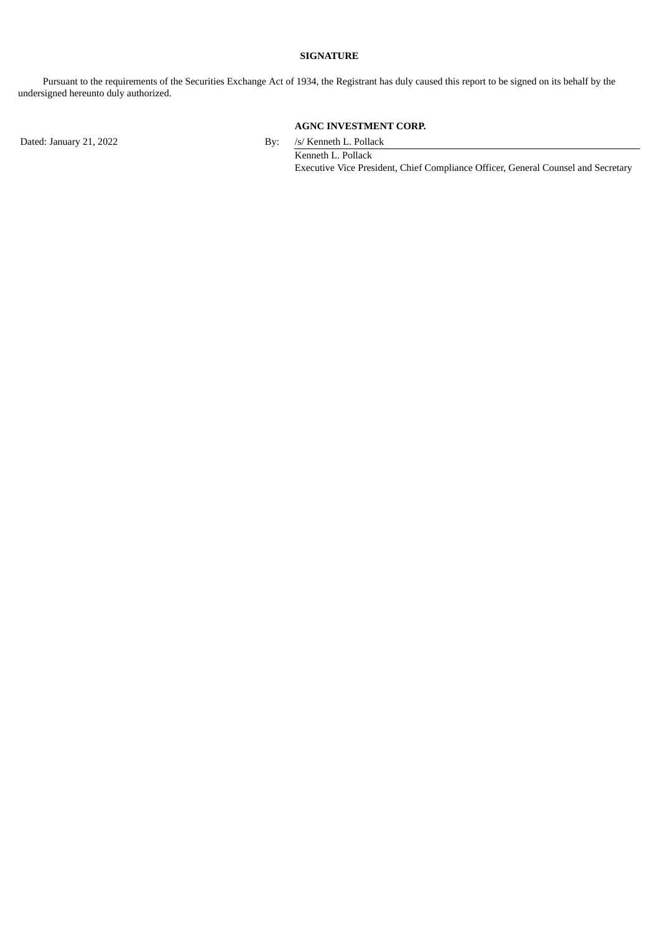#### **SIGNATURE**

Pursuant to the requirements of the Securities Exchange Act of 1934, the Registrant has duly caused this report to be signed on its behalf by the undersigned hereunto duly authorized.

# **AGNC INVESTMENT CORP.**

Dated: January 21, 2022 By: /s/ Kenneth L. Pollack

Kenneth L. Pollack Executive Vice President, Chief Compliance Officer, General Counsel and Secretary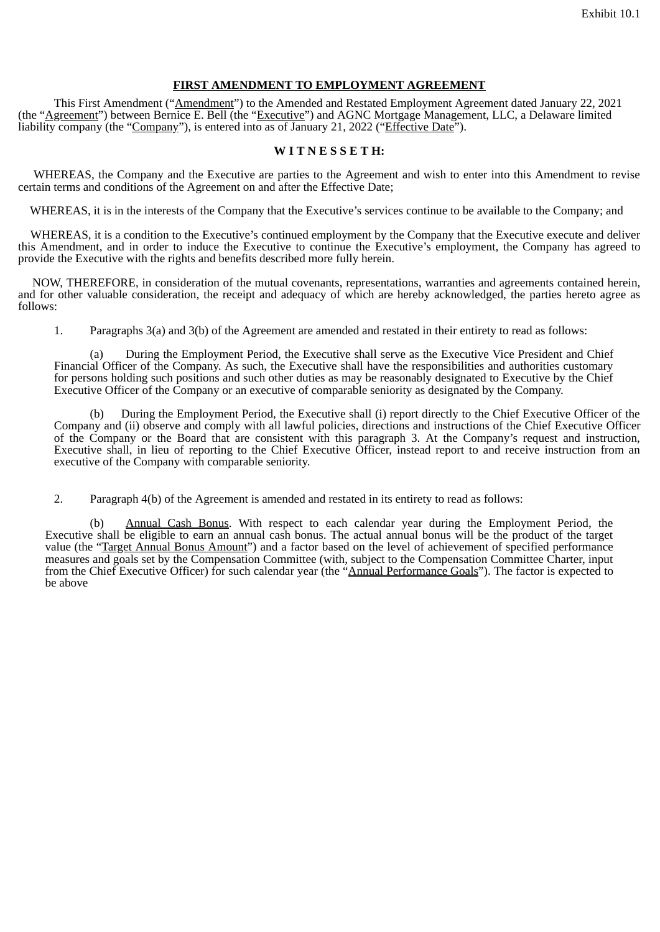#### **FIRST AMENDMENT TO EMPLOYMENT AGREEMENT**

<span id="page-3-0"></span>This First Amendment ("Amendment") to the Amended and Restated Employment Agreement dated January 22, 2021 (the "Agreement") between Bernice E. Bell (the "Executive") and AGNC Mortgage Management, LLC, a Delaware limited liability company (the "Company"), is entered into as of January 21, 2022 ("Effective Date").

### **W I T N E S S E T H:**

WHEREAS, the Company and the Executive are parties to the Agreement and wish to enter into this Amendment to revise certain terms and conditions of the Agreement on and after the Effective Date;

WHEREAS, it is in the interests of the Company that the Executive's services continue to be available to the Company; and

WHEREAS, it is a condition to the Executive's continued employment by the Company that the Executive execute and deliver this Amendment, and in order to induce the Executive to continue the Executive's employment, the Company has agreed to provide the Executive with the rights and benefits described more fully herein.

NOW, THEREFORE, in consideration of the mutual covenants, representations, warranties and agreements contained herein, and for other valuable consideration, the receipt and adequacy of which are hereby acknowledged, the parties hereto agree as follows:

1. Paragraphs 3(a) and 3(b) of the Agreement are amended and restated in their entirety to read as follows:

(a) During the Employment Period, the Executive shall serve as the Executive Vice President and Chief Financial Officer of the Company. As such, the Executive shall have the responsibilities and authorities customary for persons holding such positions and such other duties as may be reasonably designated to Executive by the Chief Executive Officer of the Company or an executive of comparable seniority as designated by the Company.

(b) During the Employment Period, the Executive shall (i) report directly to the Chief Executive Officer of the Company and (ii) observe and comply with all lawful policies, directions and instructions of the Chief Executive Officer of the Company or the Board that are consistent with this paragraph 3. At the Company's request and instruction, Executive shall, in lieu of reporting to the Chief Executive Officer, instead report to and receive instruction from an executive of the Company with comparable seniority.

2. Paragraph 4(b) of the Agreement is amended and restated in its entirety to read as follows:

(b) Annual Cash Bonus. With respect to each calendar year during the Employment Period, the Executive shall be eligible to earn an annual cash bonus. The actual annual bonus will be the product of the target value (the "Target Annual Bonus Amount") and a factor based on the level of achievement of specified performance measures and goals set by the Compensation Committee (with, subject to the Compensation Committee Charter, input from the Chief Executive Officer) for such calendar year (the "Annual Performance Goals"). The factor is expected to be above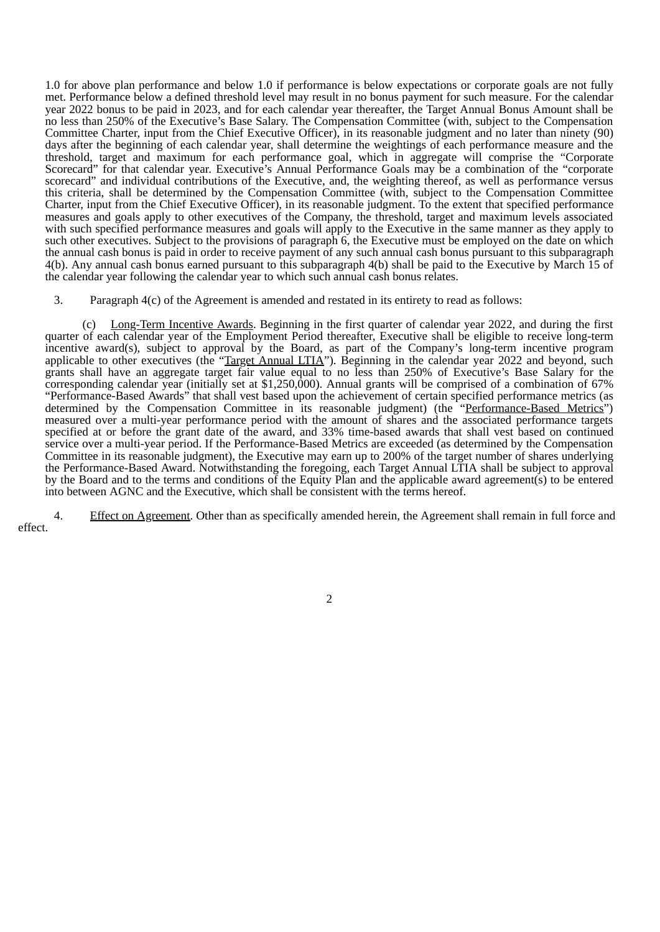1.0 for above plan performance and below 1.0 if performance is below expectations or corporate goals are not fully met. Performance below a defined threshold level may result in no bonus payment for such measure. For the calendar year 2022 bonus to be paid in 2023, and for each calendar year thereafter, the Target Annual Bonus Amount shall be no less than 250% of the Executive's Base Salary. The Compensation Committee (with, subject to the Compensation Committee Charter, input from the Chief Executive Officer), in its reasonable judgment and no later than ninety (90) days after the beginning of each calendar year, shall determine the weightings of each performance measure and the threshold, target and maximum for each performance goal, which in aggregate will comprise the "Corporate Scorecard" for that calendar year. Executive's Annual Performance Goals may be a combination of the "corporate scorecard" and individual contributions of the Executive, and, the weighting thereof, as well as performance versus this criteria, shall be determined by the Compensation Committee (with, subject to the Compensation Committee Charter, input from the Chief Executive Officer), in its reasonable judgment. To the extent that specified performance measures and goals apply to other executives of the Company, the threshold, target and maximum levels associated with such specified performance measures and goals will apply to the Executive in the same manner as they apply to such other executives. Subject to the provisions of paragraph 6, the Executive must be employed on the date on which the annual cash bonus is paid in order to receive payment of any such annual cash bonus pursuant to this subparagraph 4(b). Any annual cash bonus earned pursuant to this subparagraph 4(b) shall be paid to the Executive by March 15 of the calendar year following the calendar year to which such annual cash bonus relates.

3. Paragraph 4(c) of the Agreement is amended and restated in its entirety to read as follows:

Long-Term Incentive Awards. Beginning in the first quarter of calendar year 2022, and during the first quarter of each calendar year of the Employment Period thereafter, Executive shall be eligible to receive long-term incentive award(s), subject to approval by the Board, as part of the Company's long-term incentive program applicable to other executives (the "Target Annual LTIA"). Beginning in the calendar year 2022 and beyond, such grants shall have an aggregate target fair value equal to no less than 250% of Executive's Base Salary for the corresponding calendar year (initially set at \$1,250,000). Annual grants will be comprised of a combination of 67% "Performance-Based Awards" that shall vest based upon the achievement of certain specified performance metrics (as determined by the Compensation Committee in its reasonable judgment) (the "Performance-Based Metrics") measured over a multi-year performance period with the amount of shares and the associated performance targets specified at or before the grant date of the award, and 33% time-based awards that shall vest based on continued service over a multi-year period. If the Performance-Based Metrics are exceeded (as determined by the Compensation Committee in its reasonable judgment), the Executive may earn up to 200% of the target number of shares underlying the Performance-Based Award. Notwithstanding the foregoing, each Target Annual LTIA shall be subject to approval by the Board and to the terms and conditions of the Equity Plan and the applicable award agreement(s) to be entered into between AGNC and the Executive, which shall be consistent with the terms hereof.

4. Effect on Agreement. Other than as specifically amended herein, the Agreement shall remain in full force and effect.

2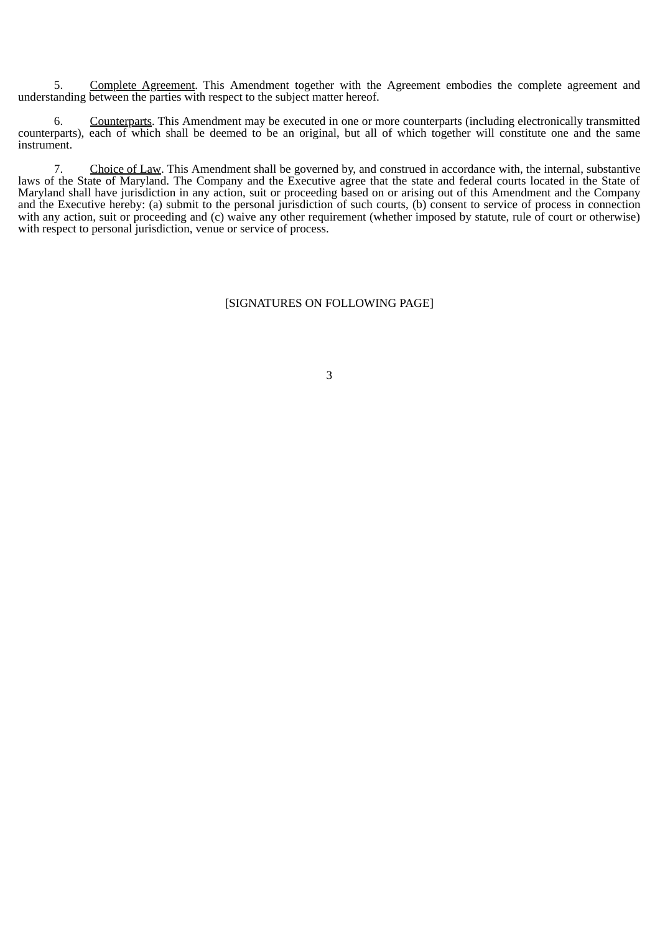5. Complete Agreement. This Amendment together with the Agreement embodies the complete agreement and understanding between the parties with respect to the subject matter hereof.

6. Counterparts. This Amendment may be executed in one or more counterparts (including electronically transmitted counterparts), each of which shall be deemed to be an original, but all of which together will constitute one and the same instrument.

7. Choice of Law. This Amendment shall be governed by, and construed in accordance with, the internal, substantive laws of the State of Maryland. The Company and the Executive agree that the state and federal courts located in the State of Maryland shall have jurisdiction in any action, suit or proceeding based on or arising out of this Amendment and the Company and the Executive hereby: (a) submit to the personal jurisdiction of such courts, (b) consent to service of process in connection with any action, suit or proceeding and (c) waive any other requirement (whether imposed by statute, rule of court or otherwise) with respect to personal jurisdiction, venue or service of process.

#### [SIGNATURES ON FOLLOWING PAGE]

3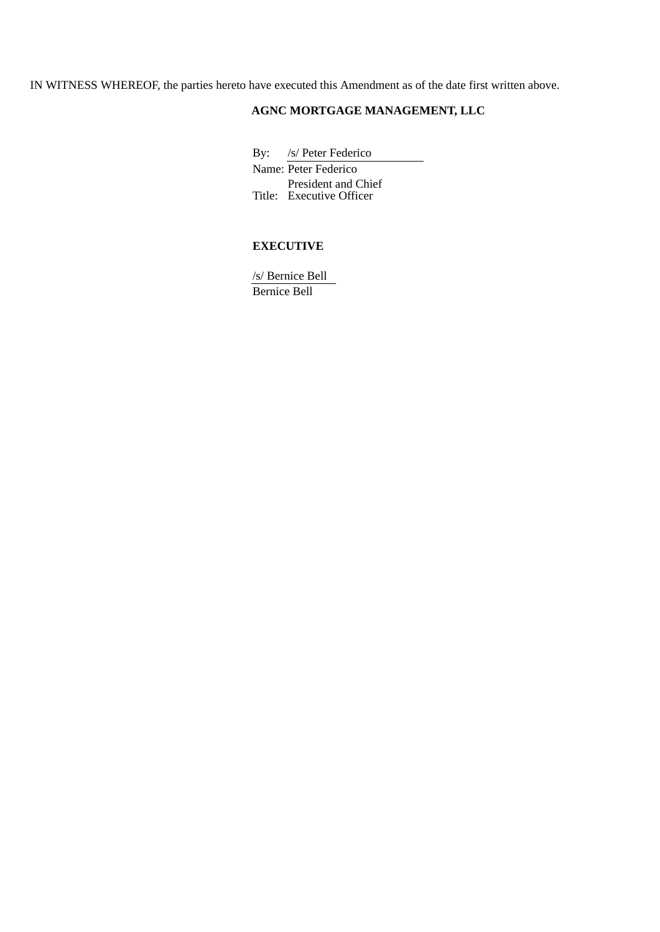IN WITNESS WHEREOF, the parties hereto have executed this Amendment as of the date first written above.

# **AGNC MORTGAGE MANAGEMENT, LLC**

By: /s/ Peter Federico

Name: Peter Federico Title: Executive Officer President and Chief

# **EXECUTIVE**

/s/ Bernice Bell Bernice Bell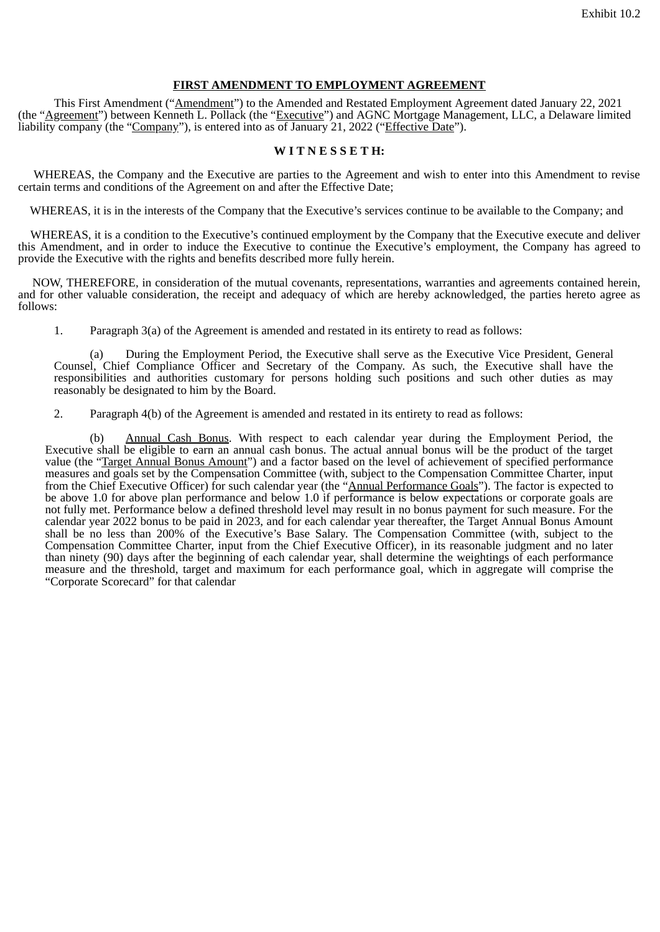#### **FIRST AMENDMENT TO EMPLOYMENT AGREEMENT**

<span id="page-7-0"></span>This First Amendment ("Amendment") to the Amended and Restated Employment Agreement dated January 22, 2021 (the "Agreement") between Kenneth L. Pollack (the "Executive") and AGNC Mortgage Management, LLC, a Delaware limited liability company (the "Company"), is entered into as of January 21, 2022 ("Effective Date").

### **W I T N E S S E T H:**

WHEREAS, the Company and the Executive are parties to the Agreement and wish to enter into this Amendment to revise certain terms and conditions of the Agreement on and after the Effective Date;

WHEREAS, it is in the interests of the Company that the Executive's services continue to be available to the Company; and

WHEREAS, it is a condition to the Executive's continued employment by the Company that the Executive execute and deliver this Amendment, and in order to induce the Executive to continue the Executive's employment, the Company has agreed to provide the Executive with the rights and benefits described more fully herein.

NOW, THEREFORE, in consideration of the mutual covenants, representations, warranties and agreements contained herein, and for other valuable consideration, the receipt and adequacy of which are hereby acknowledged, the parties hereto agree as follows:

1. Paragraph 3(a) of the Agreement is amended and restated in its entirety to read as follows:

(a) During the Employment Period, the Executive shall serve as the Executive Vice President, General Counsel, Chief Compliance Officer and Secretary of the Company. As such, the Executive shall have the responsibilities and authorities customary for persons holding such positions and such other duties as may reasonably be designated to him by the Board.

2. Paragraph 4(b) of the Agreement is amended and restated in its entirety to read as follows:

(b) Annual Cash Bonus. With respect to each calendar year during the Employment Period, the Executive shall be eligible to earn an annual cash bonus. The actual annual bonus will be the product of the target value (the "Target Annual Bonus Amount") and a factor based on the level of achievement of specified performance measures and goals set by the Compensation Committee (with, subject to the Compensation Committee Charter, input from the Chief Executive Officer) for such calendar year (the "Annual Performance Goals"). The factor is expected to be above 1.0 for above plan performance and below 1.0 if performance is below expectations or corporate goals are not fully met. Performance below a defined threshold level may result in no bonus payment for such measure. For the calendar year 2022 bonus to be paid in 2023, and for each calendar year thereafter, the Target Annual Bonus Amount shall be no less than 200% of the Executive's Base Salary. The Compensation Committee (with, subject to the Compensation Committee Charter, input from the Chief Executive Officer), in its reasonable judgment and no later than ninety (90) days after the beginning of each calendar year, shall determine the weightings of each performance measure and the threshold, target and maximum for each performance goal, which in aggregate will comprise the "Corporate Scorecard" for that calendar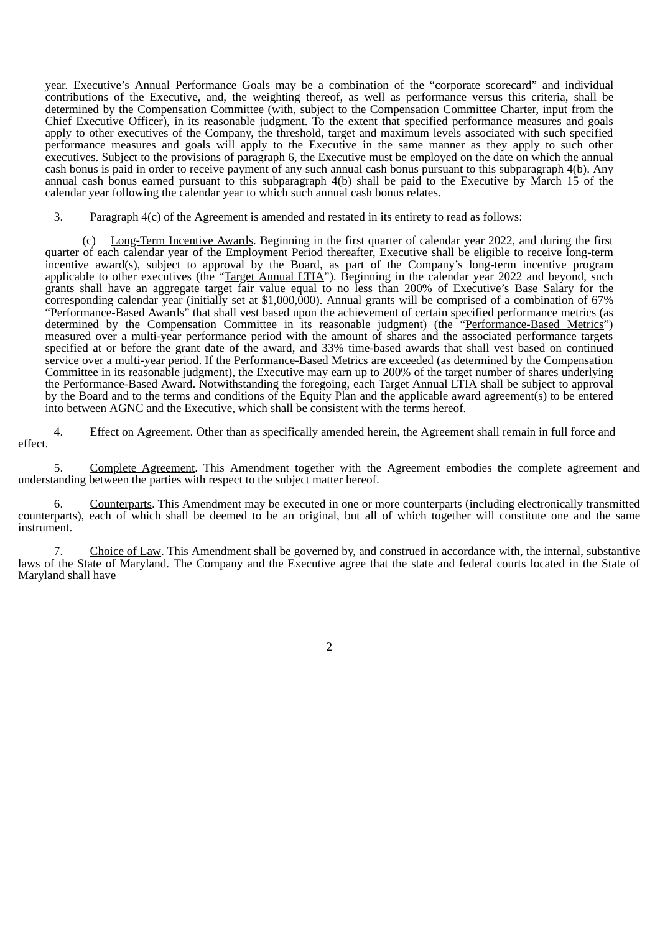year. Executive's Annual Performance Goals may be a combination of the "corporate scorecard" and individual contributions of the Executive, and, the weighting thereof, as well as performance versus this criteria, shall be determined by the Compensation Committee (with, subject to the Compensation Committee Charter, input from the Chief Executive Officer), in its reasonable judgment. To the extent that specified performance measures and goals apply to other executives of the Company, the threshold, target and maximum levels associated with such specified performance measures and goals will apply to the Executive in the same manner as they apply to such other executives. Subject to the provisions of paragraph 6, the Executive must be employed on the date on which the annual cash bonus is paid in order to receive payment of any such annual cash bonus pursuant to this subparagraph 4(b). Any annual cash bonus earned pursuant to this subparagraph 4(b) shall be paid to the Executive by March 15 of the calendar year following the calendar year to which such annual cash bonus relates.

3. Paragraph 4(c) of the Agreement is amended and restated in its entirety to read as follows:

Long-Term Incentive Awards. Beginning in the first quarter of calendar year 2022, and during the first quarter of each calendar year of the Employment Period thereafter, Executive shall be eligible to receive long-term incentive award(s), subject to approval by the Board, as part of the Company's long-term incentive program applicable to other executives (the "Target Annual LTIA"). Beginning in the calendar year 2022 and beyond, such grants shall have an aggregate target fair value equal to no less than 200% of Executive's Base Salary for the corresponding calendar year (initially set at \$1,000,000). Annual grants will be comprised of a combination of 67% "Performance-Based Awards" that shall vest based upon the achievement of certain specified performance metrics (as determined by the Compensation Committee in its reasonable judgment) (the "Performance-Based Metrics") measured over a multi-year performance period with the amount of shares and the associated performance targets specified at or before the grant date of the award, and 33% time-based awards that shall vest based on continued service over a multi-year period. If the Performance-Based Metrics are exceeded (as determined by the Compensation Committee in its reasonable judgment), the Executive may earn up to 200% of the target number of shares underlying the Performance-Based Award. Notwithstanding the foregoing, each Target Annual LTIA shall be subject to approval by the Board and to the terms and conditions of the Equity Plan and the applicable award agreement(s) to be entered into between AGNC and the Executive, which shall be consistent with the terms hereof.

4. Effect on Agreement. Other than as specifically amended herein, the Agreement shall remain in full force and effect.

5. Complete Agreement. This Amendment together with the Agreement embodies the complete agreement and understanding between the parties with respect to the subject matter hereof.

6. Counterparts. This Amendment may be executed in one or more counterparts (including electronically transmitted counterparts), each of which shall be deemed to be an original, but all of which together will constitute one and the same instrument.

7. Choice of Law. This Amendment shall be governed by, and construed in accordance with, the internal, substantive laws of the State of Maryland. The Company and the Executive agree that the state and federal courts located in the State of Maryland shall have

2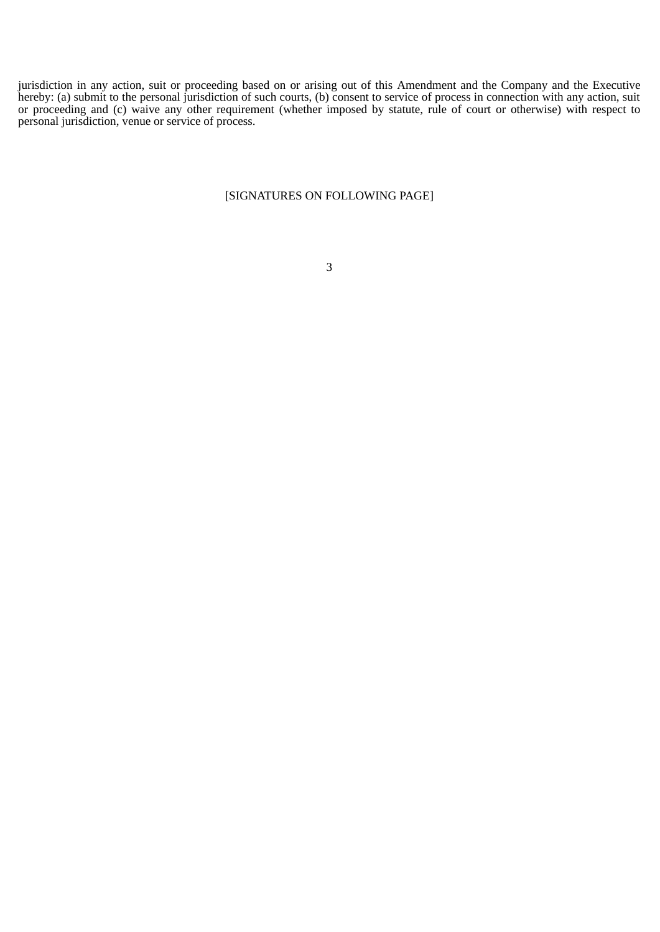jurisdiction in any action, suit or proceeding based on or arising out of this Amendment and the Company and the Executive hereby: (a) submit to the personal jurisdiction of such courts, (b) consent to service of process in connection with any action, suit or proceeding and (c) waive any other requirement (whether imposed by statute, rule of court or otherwise) with respect to personal jurisdiction, venue or service of process.

#### [SIGNATURES ON FOLLOWING PAGE]